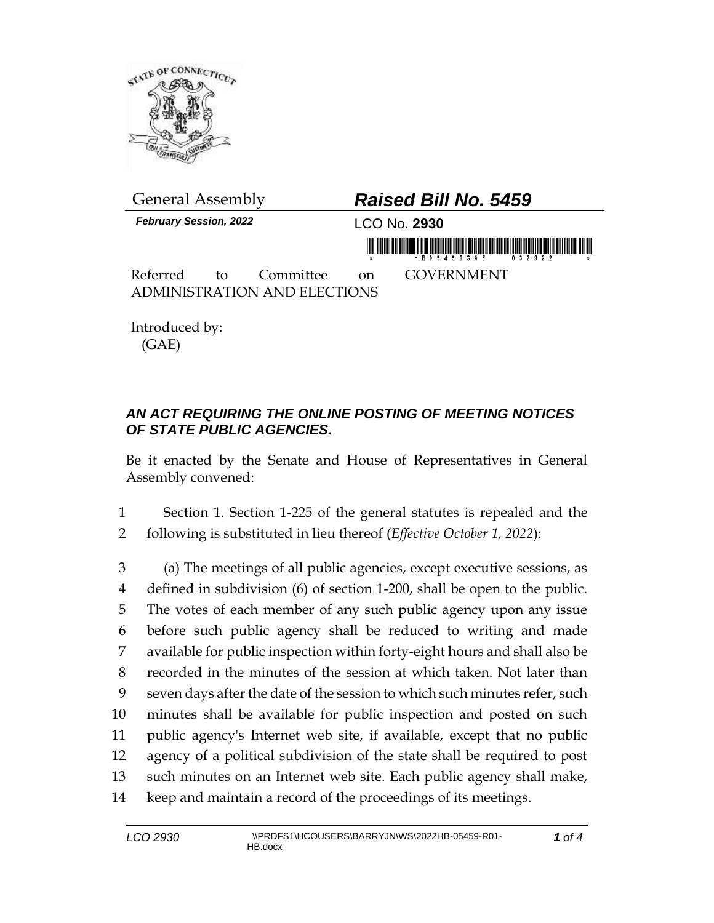

*February Session, 2022* LCO No. **2930**

## General Assembly *Raised Bill No. 5459*

Referred to Committee on GOVERNMENT ADMINISTRATION AND ELECTIONS

Introduced by: (GAE)

## *AN ACT REQUIRING THE ONLINE POSTING OF MEETING NOTICES OF STATE PUBLIC AGENCIES.*

Be it enacted by the Senate and House of Representatives in General Assembly convened:

1 Section 1. Section 1-225 of the general statutes is repealed and the 2 following is substituted in lieu thereof (*Effective October 1, 2022*):

 (a) The meetings of all public agencies, except executive sessions, as defined in subdivision (6) of section 1-200, shall be open to the public. The votes of each member of any such public agency upon any issue before such public agency shall be reduced to writing and made available for public inspection within forty-eight hours and shall also be recorded in the minutes of the session at which taken. Not later than seven days after the date of the session to which such minutes refer, such minutes shall be available for public inspection and posted on such public agency's Internet web site, if available, except that no public agency of a political subdivision of the state shall be required to post such minutes on an Internet web site. Each public agency shall make, keep and maintain a record of the proceedings of its meetings.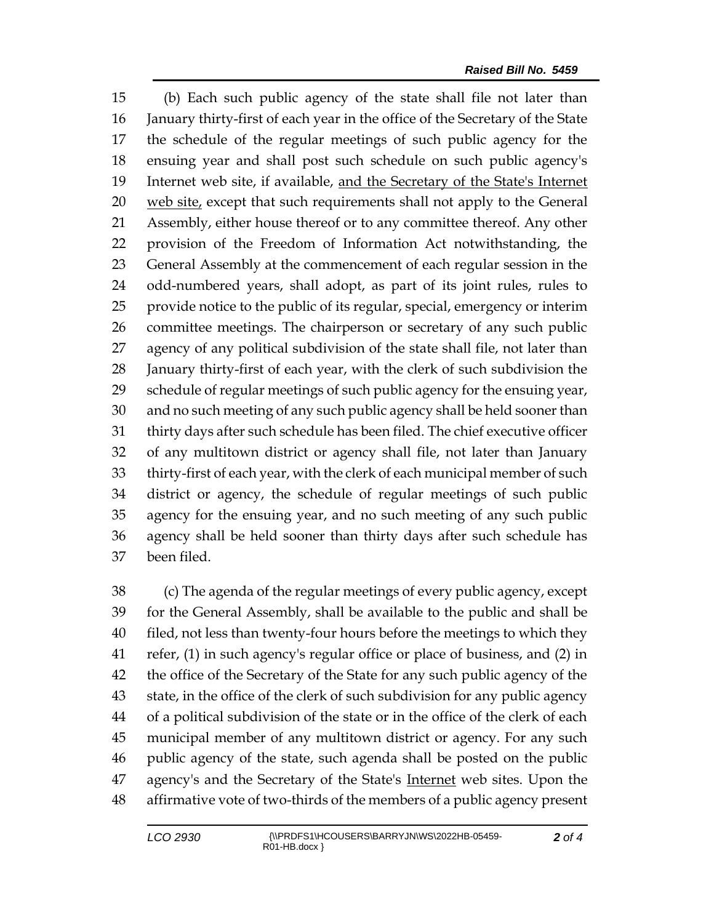(b) Each such public agency of the state shall file not later than January thirty-first of each year in the office of the Secretary of the State the schedule of the regular meetings of such public agency for the ensuing year and shall post such schedule on such public agency's Internet web site, if available, and the Secretary of the State's Internet 20 web site, except that such requirements shall not apply to the General Assembly, either house thereof or to any committee thereof. Any other provision of the Freedom of Information Act notwithstanding, the General Assembly at the commencement of each regular session in the odd-numbered years, shall adopt, as part of its joint rules, rules to provide notice to the public of its regular, special, emergency or interim committee meetings. The chairperson or secretary of any such public agency of any political subdivision of the state shall file, not later than January thirty-first of each year, with the clerk of such subdivision the schedule of regular meetings of such public agency for the ensuing year, and no such meeting of any such public agency shall be held sooner than thirty days after such schedule has been filed. The chief executive officer of any multitown district or agency shall file, not later than January thirty-first of each year, with the clerk of each municipal member of such district or agency, the schedule of regular meetings of such public agency for the ensuing year, and no such meeting of any such public agency shall be held sooner than thirty days after such schedule has been filed.

 (c) The agenda of the regular meetings of every public agency, except for the General Assembly, shall be available to the public and shall be filed, not less than twenty-four hours before the meetings to which they refer, (1) in such agency's regular office or place of business, and (2) in the office of the Secretary of the State for any such public agency of the state, in the office of the clerk of such subdivision for any public agency of a political subdivision of the state or in the office of the clerk of each municipal member of any multitown district or agency. For any such public agency of the state, such agenda shall be posted on the public 47 agency's and the Secretary of the State's Internet web sites. Upon the affirmative vote of two-thirds of the members of a public agency present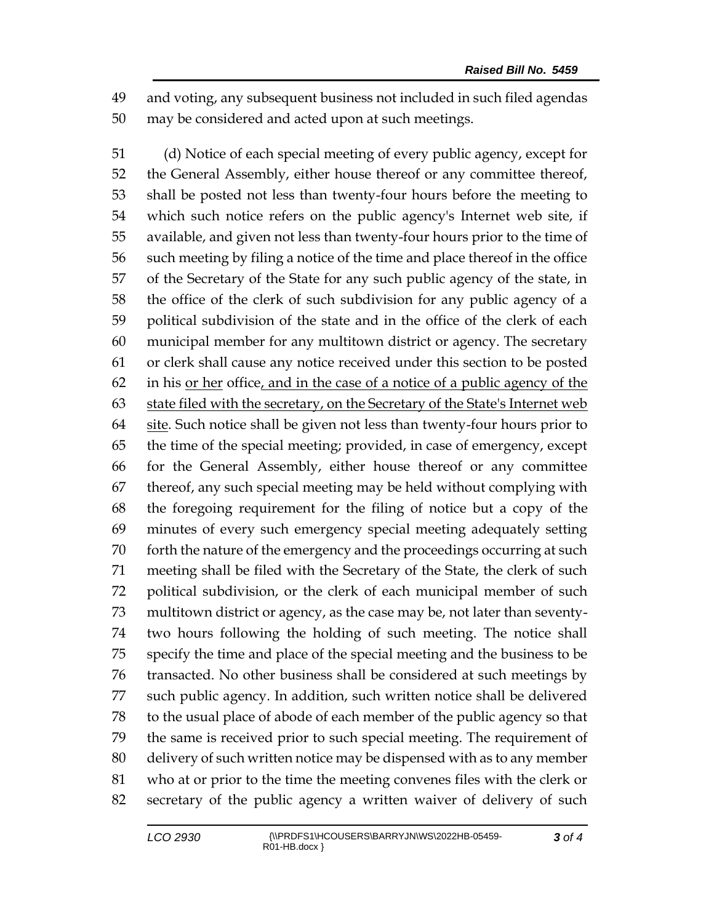and voting, any subsequent business not included in such filed agendas may be considered and acted upon at such meetings.

 (d) Notice of each special meeting of every public agency, except for the General Assembly, either house thereof or any committee thereof, shall be posted not less than twenty-four hours before the meeting to which such notice refers on the public agency's Internet web site, if available, and given not less than twenty-four hours prior to the time of such meeting by filing a notice of the time and place thereof in the office of the Secretary of the State for any such public agency of the state, in the office of the clerk of such subdivision for any public agency of a political subdivision of the state and in the office of the clerk of each municipal member for any multitown district or agency. The secretary or clerk shall cause any notice received under this section to be posted in his or her office, and in the case of a notice of a public agency of the state filed with the secretary, on the Secretary of the State's Internet web site. Such notice shall be given not less than twenty-four hours prior to the time of the special meeting; provided, in case of emergency, except for the General Assembly, either house thereof or any committee thereof, any such special meeting may be held without complying with the foregoing requirement for the filing of notice but a copy of the minutes of every such emergency special meeting adequately setting forth the nature of the emergency and the proceedings occurring at such meeting shall be filed with the Secretary of the State, the clerk of such political subdivision, or the clerk of each municipal member of such multitown district or agency, as the case may be, not later than seventy- two hours following the holding of such meeting. The notice shall specify the time and place of the special meeting and the business to be transacted. No other business shall be considered at such meetings by such public agency. In addition, such written notice shall be delivered to the usual place of abode of each member of the public agency so that the same is received prior to such special meeting. The requirement of delivery of such written notice may be dispensed with as to any member who at or prior to the time the meeting convenes files with the clerk or secretary of the public agency a written waiver of delivery of such